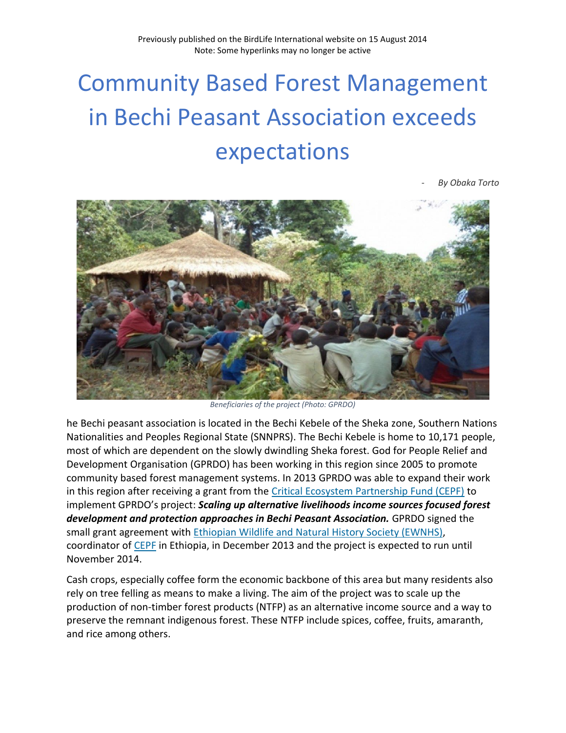## Community Based Forest Management in Bechi Peasant Association exceeds expectations

*- By Obaka Torto*



*Beneficiaries of the project (Photo: GPRDO)*

he Bechi peasant association is located in the Bechi Kebele of the Sheka zone, Southern Nations Nationalities and Peoples Regional State (SNNPRS). The Bechi Kebele is home to 10,171 people, most of which are dependent on the slowly dwindling Sheka forest. God for People Relief and Development Organisation (GPRDO) has been working in this region since 2005 to promote community based forest management systems. In 2013 GPRDO was able to expand their work in this region after receiving a grant from the [Critical Ecosystem Partnership Fund \(CEPF\)](http://www.cepf.net/) to implement GPRDO's project: *Scaling up alternative livelihoods income sources focused forest development and protection approaches in Bechi Peasant Association.* GPRDO signed the small grant agreement with [Ethiopian Wildlife and Natural History Society \(EWNHS\),](http://ewnhs.org.et/) coordinator of [CEPF](http://www.cepf.net/) in Ethiopia, in December 2013 and the project is expected to run until November 2014.

Cash crops, especially coffee form the economic backbone of this area but many residents also rely on tree felling as means to make a living. The aim of the project was to scale up the production of non-timber forest products (NTFP) as an alternative income source and a way to preserve the remnant indigenous forest. These NTFP include spices, coffee, fruits, amaranth, and rice among others.